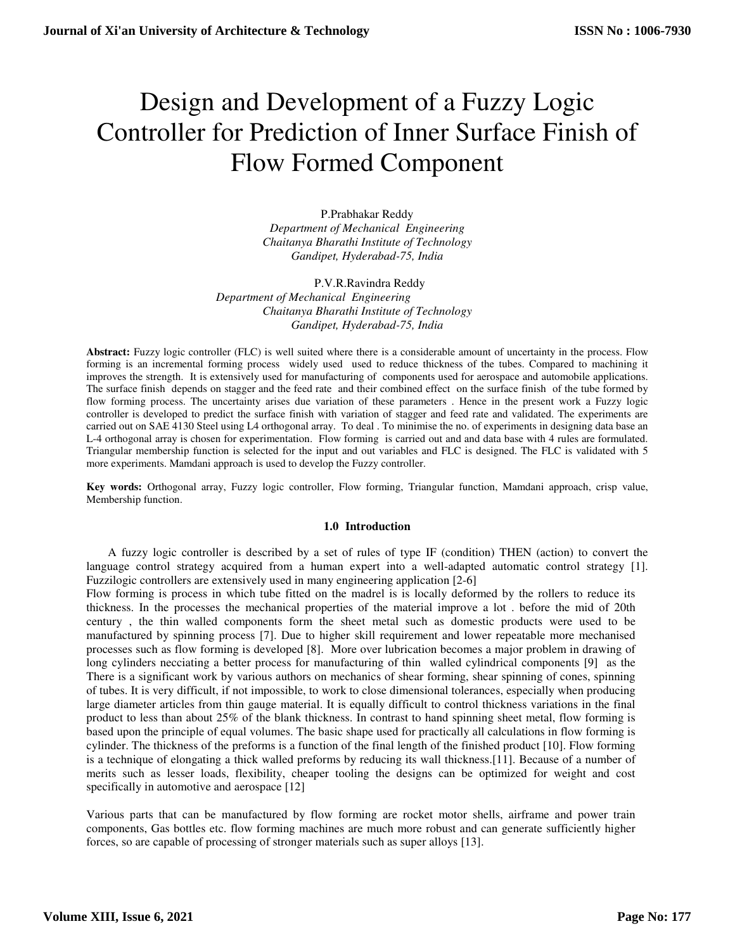# Design and Development of a Fuzzy Logic Controller for Prediction of Inner Surface Finish of Flow Formed Component

P.Prabhakar Reddy *Department of Mechanical Engineering Chaitanya Bharathi Institute of Technology Gandipet, Hyderabad-75, India* 

P.V.R.Ravindra Reddy *Department of Mechanical Engineering Chaitanya Bharathi Institute of Technology Gandipet, Hyderabad-75, India* 

**Abstract:** Fuzzy logic controller (FLC) is well suited where there is a considerable amount of uncertainty in the process. Flow forming is an incremental forming process widely used used to reduce thickness of the tubes. Compared to machining it improves the strength. It is extensively used for manufacturing of components used for aerospace and automobile applications. The surface finish depends on stagger and the feed rate and their combined effect on the surface finish of the tube formed by flow forming process. The uncertainty arises due variation of these parameters . Hence in the present work a Fuzzy logic controller is developed to predict the surface finish with variation of stagger and feed rate and validated. The experiments are carried out on SAE 4130 Steel using L4 orthogonal array. To deal . To minimise the no. of experiments in designing data base an L-4 orthogonal array is chosen for experimentation. Flow forming is carried out and and data base with 4 rules are formulated. Triangular membership function is selected for the input and out variables and FLC is designed. The FLC is validated with 5 more experiments. Mamdani approach is used to develop the Fuzzy controller.

**Key words:** Orthogonal array, Fuzzy logic controller, Flow forming, Triangular function, Mamdani approach, crisp value, Membership function.

# **1.0 Introduction**

A fuzzy logic controller is described by a set of rules of type IF (condition) THEN (action) to convert the language control strategy acquired from a human expert into a well-adapted automatic control strategy [1]. Fuzzilogic controllers are extensively used in many engineering application [2-6]

Flow forming is process in which tube fitted on the madrel is is locally deformed by the rollers to reduce its thickness. In the processes the mechanical properties of the material improve a lot . before the mid of 20th century , the thin walled components form the sheet metal such as domestic products were used to be manufactured by spinning process [7]. Due to higher skill requirement and lower repeatable more mechanised processes such as flow forming is developed [8]. More over lubrication becomes a major problem in drawing of long cylinders necciating a better process for manufacturing of thin walled cylindrical components [9] as the There is a significant work by various authors on mechanics of shear forming, shear spinning of cones, spinning of tubes. It is very difficult, if not impossible, to work to close dimensional tolerances, especially when producing large diameter articles from thin gauge material. It is equally difficult to control thickness variations in the final product to less than about 25% of the blank thickness. In contrast to hand spinning sheet metal, flow forming is based upon the principle of equal volumes. The basic shape used for practically all calculations in flow forming is cylinder. The thickness of the preforms is a function of the final length of the finished product [10]. Flow forming is a technique of elongating a thick walled preforms by reducing its wall thickness.[11]. Because of a number of merits such as lesser loads, flexibility, cheaper tooling the designs can be optimized for weight and cost specifically in automotive and aerospace [12]

Various parts that can be manufactured by flow forming are rocket motor shells, airframe and power train components, Gas bottles etc. flow forming machines are much more robust and can generate sufficiently higher forces, so are capable of processing of stronger materials such as super alloys [13].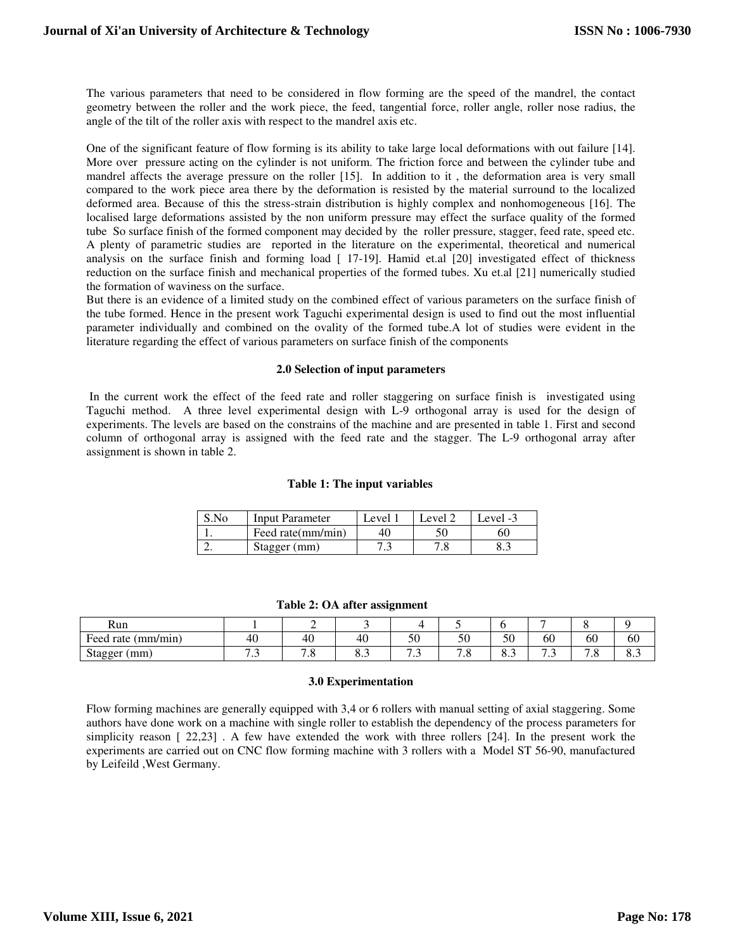The various parameters that need to be considered in flow forming are the speed of the mandrel, the contact geometry between the roller and the work piece, the feed, tangential force, roller angle, roller nose radius, the angle of the tilt of the roller axis with respect to the mandrel axis etc.

One of the significant feature of flow forming is its ability to take large local deformations with out failure [14]. More over pressure acting on the cylinder is not uniform. The friction force and between the cylinder tube and mandrel affects the average pressure on the roller [15]. In addition to it , the deformation area is very small compared to the work piece area there by the deformation is resisted by the material surround to the localized deformed area. Because of this the stress-strain distribution is highly complex and nonhomogeneous [16]. The localised large deformations assisted by the non uniform pressure may effect the surface quality of the formed tube So surface finish of the formed component may decided by the roller pressure, stagger, feed rate, speed etc. A plenty of parametric studies are reported in the literature on the experimental, theoretical and numerical analysis on the surface finish and forming load [ 17-19]. Hamid et.al [20] investigated effect of thickness reduction on the surface finish and mechanical properties of the formed tubes. Xu et.al [21] numerically studied the formation of waviness on the surface.

But there is an evidence of a limited study on the combined effect of various parameters on the surface finish of the tube formed. Hence in the present work Taguchi experimental design is used to find out the most influential parameter individually and combined on the ovality of the formed tube.A lot of studies were evident in the literature regarding the effect of various parameters on surface finish of the components

# **2.0 Selection of input parameters**

 In the current work the effect of the feed rate and roller staggering on surface finish is investigated using Taguchi method. A three level experimental design with L-9 orthogonal array is used for the design of experiments. The levels are based on the constrains of the machine and are presented in table 1. First and second column of orthogonal array is assigned with the feed rate and the stagger. The L-9 orthogonal array after assignment is shown in table 2.

## **Table 1: The input variables**

| $S_{\rm NO}$ | <b>Input Parameter</b> | Level. | Level 2 | Level -3 |
|--------------|------------------------|--------|---------|----------|
|              | Feed rate(mm/min)      |        |         | 60       |
|              | Stagger (mm)           |        |         |          |

| Run                      |                                          | -                            |                               |          |                       |                                    |                      |                        |     |
|--------------------------|------------------------------------------|------------------------------|-------------------------------|----------|-----------------------|------------------------------------|----------------------|------------------------|-----|
| Feed<br>(mm/mın)<br>rate | 40                                       | 40                           | 40                            | <∩<br>υU | $\sim$<br>ΟU          | 50                                 | 60                   | 60                     | 60  |
| mm<br>Stagger<br>ం       | -<br>$\overline{\phantom{a}}$<br>$\cdot$ | $\sim$ $\sim$<br>ໍ ເ.<br>. о | $\mathbf{o} \cdot \mathbf{v}$ | ໍ່       | $\sim$<br>$\cdot$ . O | -<br>$\mathbf{o} \cdot \mathbf{o}$ | -<br>$\cdot$ $\cdot$ | -<br>C.<br>$\cdot$ . O | 0.J |

## **Table 2: OA after assignment**

## **3.0 Experimentation**

Flow forming machines are generally equipped with 3,4 or 6 rollers with manual setting of axial staggering. Some authors have done work on a machine with single roller to establish the dependency of the process parameters for simplicity reason [ 22,23] . A few have extended the work with three rollers [24]. In the present work the experiments are carried out on CNC flow forming machine with 3 rollers with a Model ST 56-90, manufactured by Leifeild ,West Germany.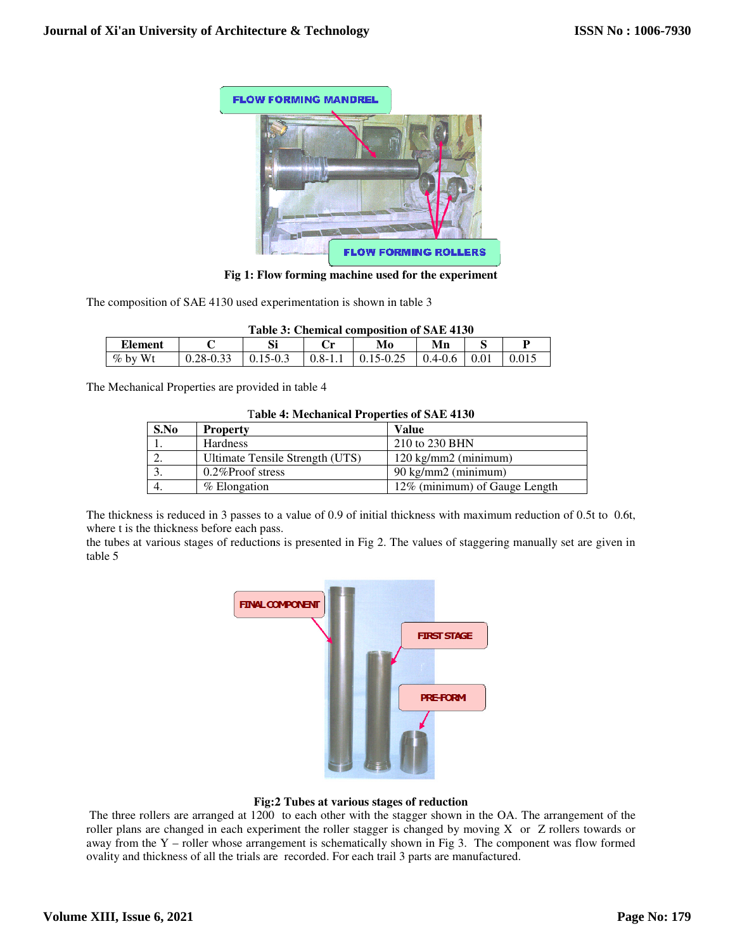

**Fig 1: Flow forming machine used for the experiment** 

The composition of SAE 4130 used experimentation is shown in table 3

| Table 3: Chemical composition of SAE 4130 |           |            |             |               |             |  |  |
|-------------------------------------------|-----------|------------|-------------|---------------|-------------|--|--|
| <b>Element</b>                            |           | Si         |             | Mo            | Mn          |  |  |
| $\%$ by Wt                                | 0.28-0.33 | $15 - 0.5$ | $0.8 - 1.1$ | $0.15 - 0.25$ | $0.4 - 0.6$ |  |  |

The Mechanical Properties are provided in table 4

| <b>Table 4: Mechanical Properties of SAE 4130</b> |                                 |                               |  |  |  |
|---------------------------------------------------|---------------------------------|-------------------------------|--|--|--|
| S.No                                              | <b>Property</b>                 | Value                         |  |  |  |
|                                                   | <b>Hardness</b>                 | 210 to 230 BHN                |  |  |  |
|                                                   | Ultimate Tensile Strength (UTS) | 120 kg/mm2 (minimum)          |  |  |  |
|                                                   | $0.2\%$ Proof stress            | 90 kg/mm2 (minimum)           |  |  |  |
|                                                   | % Elongation                    | 12% (minimum) of Gauge Length |  |  |  |

The thickness is reduced in 3 passes to a value of 0.9 of initial thickness with maximum reduction of 0.5t to 0.6t, where t is the thickness before each pass. The thickness is reduced in 3 passes to a value of 0.9 of initial thickness with maximum reduction of 0.5t to 0.6t, where t is the thickness before each pass.<br>the tubes at various stages of reductions is presented in Fig 2

table 5



# **Fig:2 Tubes at various stages of reduction Tubes**

The three rollers are arranged at 1200 to each other with the stagger shown in the OA. The arrangement of the The three rollers are arranged at 1200 to each other with the stagger shown in the OA. The arrangement of the roller plans are changed in each experiment the roller stagger is changed by moving X or  $Z$  rollers towards or away from the Y – roller whose arrangement is schematically shown in Fig 3. The component was flow formed ovality and thickness of all the trials are recorded. For each trail 3 parts are manufactured.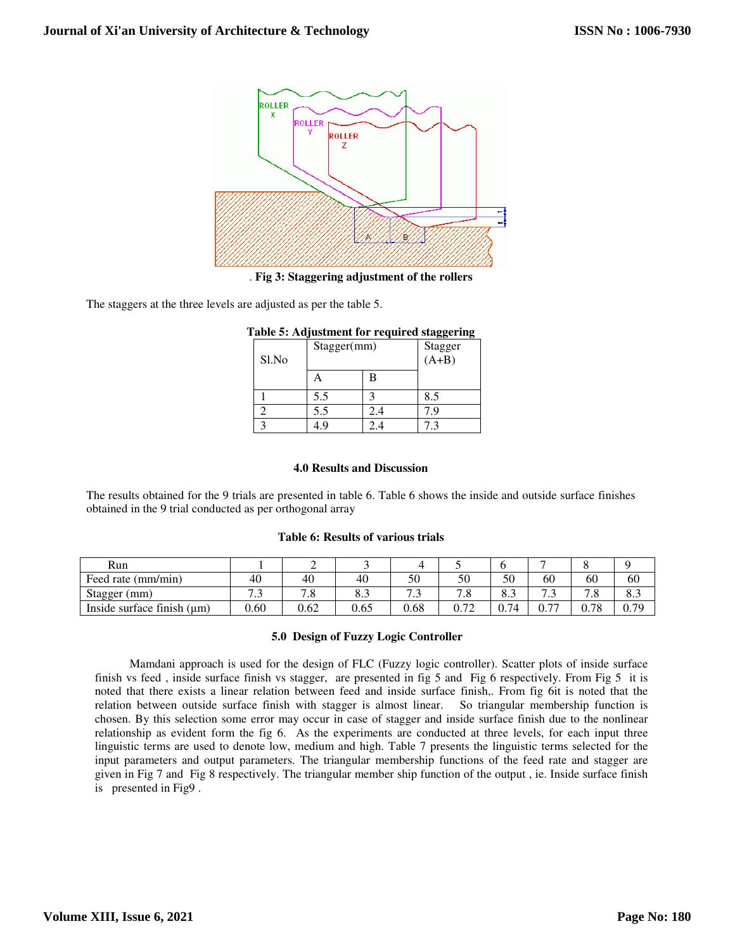

. **Fig 3: Staggering adjustment of the rollers**

The staggers at the three levels are adjusted as per the table 5.

| ⋯<br>Sl.No | Stagger(mm) |     | ŌŌ<br>-<br>Stagger<br>(A+B) |
|------------|-------------|-----|-----------------------------|
|            |             |     |                             |
|            | 5.5         |     | 8.5                         |
|            | 5.5         | 2.4 | 7.9                         |
|            | . g         | 2.4 | 7.3                         |

| Table 5: Adjustment for required staggering |  |
|---------------------------------------------|--|
|---------------------------------------------|--|

# **4.0 Results and Discussion**

The results obtained for the 9 trials are presented in table 6. Table 6 shows the inside and outside surface finishes obtained in the 9 trial conducted as per orthogonal array

# **Table 6: Results of various trials**

| Run                             |                       | ∽    |                 |      |            |      |                        |                       |      |
|---------------------------------|-----------------------|------|-----------------|------|------------|------|------------------------|-----------------------|------|
| Feed rate (mm/min)              | 40                    | 40   | 40              | 50   | 50         | 50   | 60                     | 60                    | 60   |
| Stagger<br>(mm)                 | $\overline{ }$<br>ر., | ه. ا | $\circ$<br>o. J | ر .  | 70<br>ه. ا | د.ه  | ⇁<br>ر. ا              | $\sim$ $\sim$<br>ن. ا | 8.J  |
| Inside surface finish $(\mu m)$ | 0.60                  | 0.62 | 0.65            | 0.68 | 0.72       | 0.74 | $\overline{a}$<br>v. 1 | 0.78                  | 0.79 |

# **5.0 Design of Fuzzy Logic Controller**

Mamdani approach is used for the design of FLC (Fuzzy logic controller). Scatter plots of inside surface finish vs feed , inside surface finish vs stagger, are presented in fig 5 and Fig 6 respectively. From Fig 5 it is noted that there exists a linear relation between feed and inside surface finish,. From fig 6it is noted that the relation between outside surface finish with stagger is almost linear. So triangular membership function is chosen. By this selection some error may occur in case of stagger and inside surface finish due to the nonlinear relationship as evident form the fig 6. As the experiments are conducted at three levels, for each input three linguistic terms are used to denote low, medium and high. Table 7 presents the linguistic terms selected for the input parameters and output parameters. The triangular membership functions of the feed rate and stagger are given in Fig 7 and Fig 8 respectively. The triangular member ship function of the output , ie. Inside surface finish is presented in Fig9 .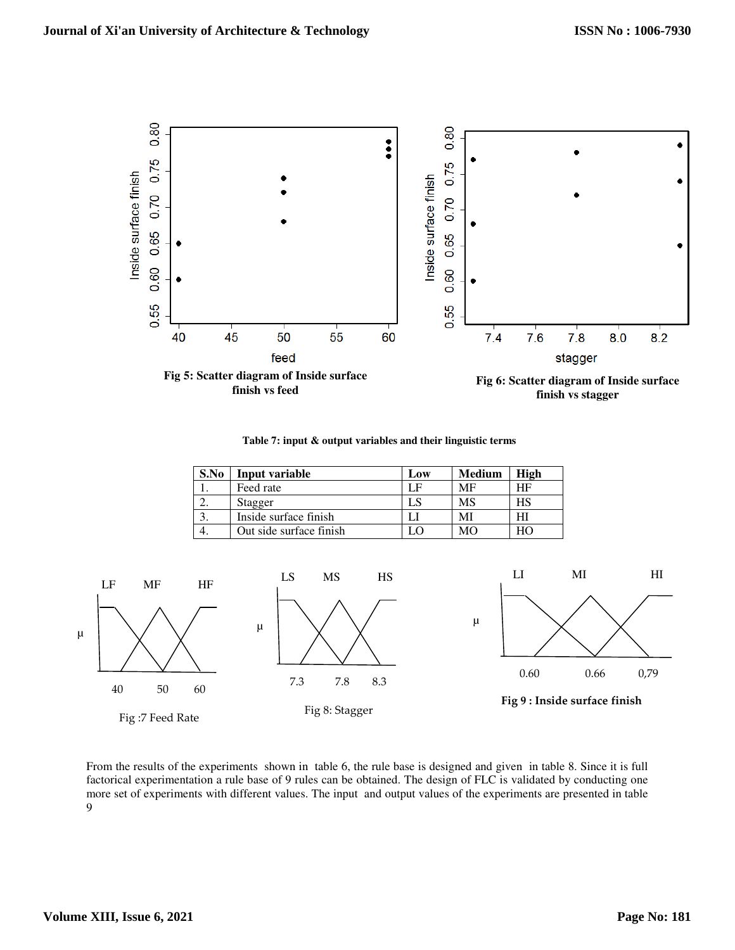

**Table 7: input & output variables and their linguistic terms** 

| S.No | Input variable          | Low | <b>Medium</b> | High |
|------|-------------------------|-----|---------------|------|
|      | Feed rate               |     | MF            | HF   |
|      | Stagger                 |     | MS            | НS   |
|      | Inside surface finish   |     | M             |      |
| 4.   | Out side surface finish |     | MО            |      |



From the results of the experiments shown in table 6, the rule base is designed and given in table 8. Since it is full factorical experimentation a rule base of 9 rules can be obtained. The design of FLC is validated by conducting one more set of experiments with different values. The input and output values of the experiments are presented in table 9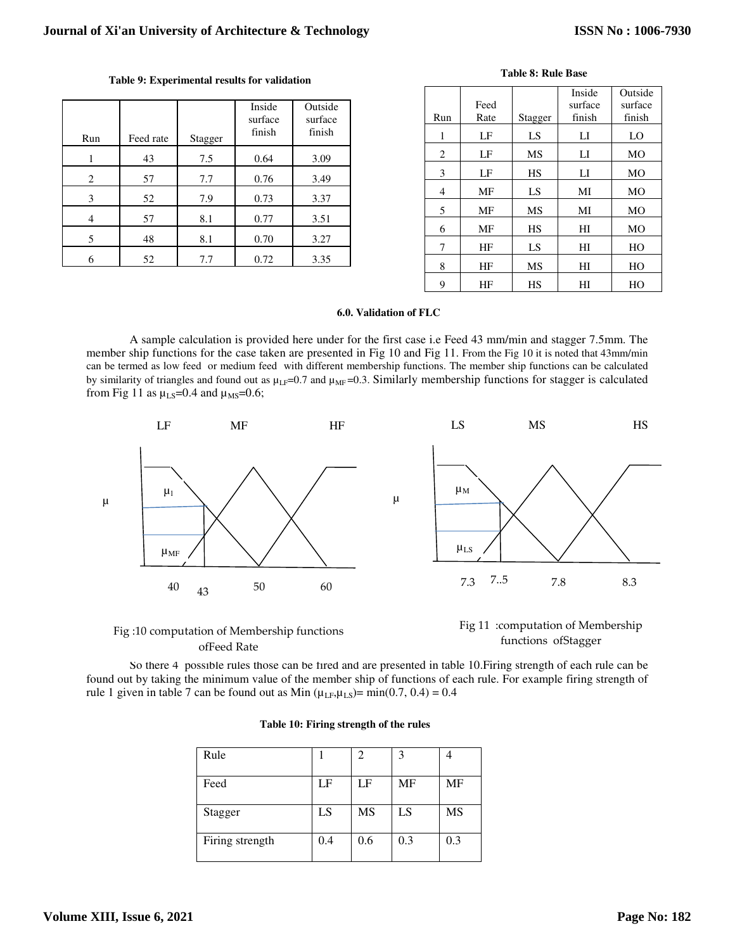| Run | Feed rate | Stagger | Inside<br>surface<br>finish | Outside<br>surface<br>finish |
|-----|-----------|---------|-----------------------------|------------------------------|
|     | 43        | 7.5     | 0.64                        | 3.09                         |
| 2   | 57        | 7.7     | 0.76                        | 3.49                         |
| 3   | 52        | 7.9     | 0.73                        | 3.37                         |
|     | 57        | 8.1     | 0.77                        | 3.51                         |
| 5   | 48        | 8.1     | 0.70                        | 3.27                         |
| 6   | 52        | 7.7     | 0.72                        | 3.35                         |

|     |      |           | Inside         | Outside        |
|-----|------|-----------|----------------|----------------|
|     | Feed |           | surface        | surface        |
| Run | Rate | Stagger   | finish         | finish         |
| 1   | LF   | LS        | LI             | LO             |
| 2   | LF   | MS        | $_{\text{LI}}$ | MO             |
| 3   | LF   | <b>HS</b> | LI             | MO             |
| 4   | MF   | LS        | MI             | M <sub>O</sub> |
| 5   | MF   | MS        | MI             | MO             |
| 6   | MF   | <b>HS</b> | HI             | MO             |
| 7   | ΗF   | LS        | HI             | HO             |
| 8   | HF   | MS        | HI             | HO             |
| 9   | HF   | HS        | HI             | HО             |

**Table 8: Rule Base** 

# **6.0. Validation of FLC**

A sample calculation is provided here under for the first case i.e Feed 43 mm/min and stagger 7.5mm. The member ship functions for the case taken are presented in Fig 10 and Fig 11. From the Fig 10 it is noted that 43mm/min can be termed as low feed or medium feed with different membership functions. The member ship functions can be calculated by similarity of triangles and found out as  $\mu_{LF}$ =0.7 and  $\mu_{MF}$ =0.3. Similarly membership functions for stagger is calculated from Fig 11 as  $\mu$ <sub>LS</sub>=0.4 and  $\mu$ <sub>MS</sub>=0.6;



Fig :10 computation of Membership functions ofFeed Rate



So there 4 possible rules those can be fired and are presented in table 10.Firing strength of each rule can be found out by taking the minimum value of the member ship of functions of each rule. For example firing strength of rule 1 given in table 7 can be found out as Min  $(\mu_{LF}, \mu_{LS}) = min(0.7, 0.4) = 0.4$ 

| Rule            |     | 2         |     |     |
|-----------------|-----|-----------|-----|-----|
| Feed            | LF  | LF        | MF  | MF  |
| Stagger         | LS  | <b>MS</b> | LS  | MS  |
| Firing strength | 0.4 | 0.6       | 0.3 | 0.3 |

| Table 10: Firing strength of the rules |  |  |  |  |
|----------------------------------------|--|--|--|--|
|----------------------------------------|--|--|--|--|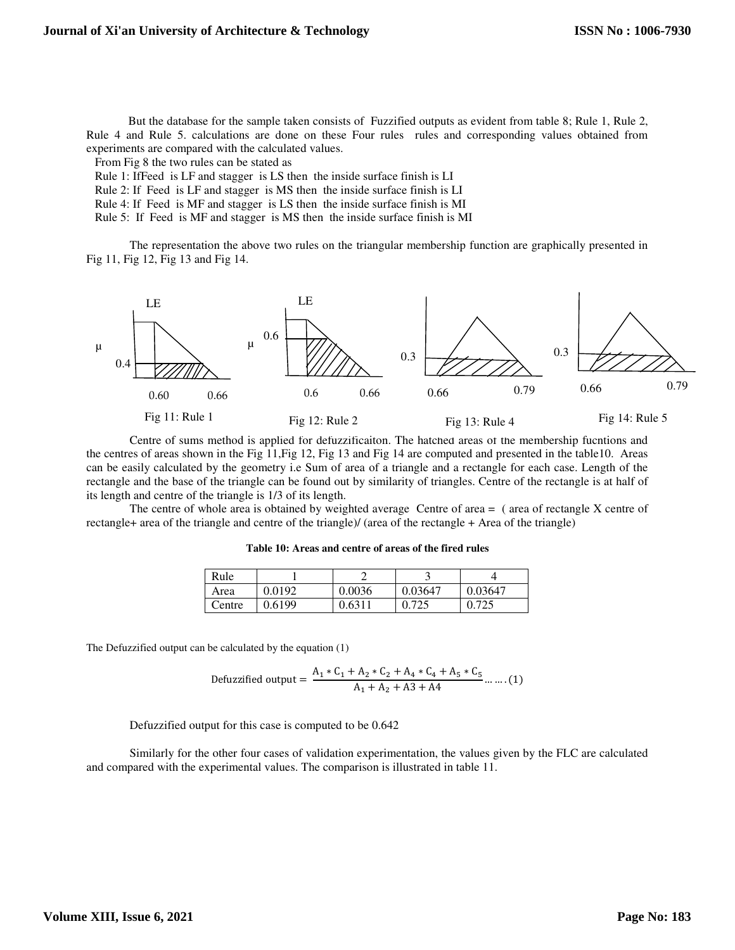But the database for the sample taken consists of Fuzzified outputs as evident from table 8; Rule 1, Rule 2, Rule 4 and Rule 5. calculations are done on these Four rules rules and corresponding values obtained from experiments are compared with the calculated values.

From Fig 8 the two rules can be stated as

- Rule 1: IfFeed is LF and stagger is LS then the inside surface finish is LI
- Rule 2: If Feed is LF and stagger is MS then the inside surface finish is LI
- Rule 4: If Feed is MF and stagger is LS then the inside surface finish is MI
- Rule 5: If Feed is MF and stagger is MS then the inside surface finish is MI

 The representation the above two rules on the triangular membership function are graphically presented in Fig 11, Fig 12, Fig 13 and Fig 14.



Centre of sums method is applied for defuzzificaiton. The hatched areas of the membership fucntions and the centres of areas shown in the Fig 11,Fig 12, Fig 13 and Fig 14 are computed and presented in the table10. Areas can be easily calculated by the geometry i.e Sum of area of a triangle and a rectangle for each case. Length of the rectangle and the base of the triangle can be found out by similarity of triangles. Centre of the rectangle is at half of its length and centre of the triangle is 1/3 of its length.

The centre of whole area is obtained by weighted average Centre of area = ( area of rectangle X centre of rectangle+ area of the triangle and centre of the triangle)/ (area of the rectangle + Area of the triangle)

| Table 10: Areas and centre of areas of the fired rules |  |  |
|--------------------------------------------------------|--|--|
|                                                        |  |  |

| Rule   |        |        |         |              |
|--------|--------|--------|---------|--------------|
| Area   | 0.0192 | 0.0036 | 0.03647 | 0.03647      |
| Centre | 0.6199 | 0.6311 | .725    | <u>ስ 725</u> |

The Defuzzified output can be calculated by the equation (1)

Defuzzified output = 
$$
\frac{A_1 * C_1 + A_2 * C_2 + A_4 * C_4 + A_5 * C_5}{A_1 + A_2 + A_3 + A_4}
$$
....(1)

Defuzzified output for this case is computed to be 0.642

Similarly for the other four cases of validation experimentation, the values given by the FLC are calculated and compared with the experimental values. The comparison is illustrated in table 11.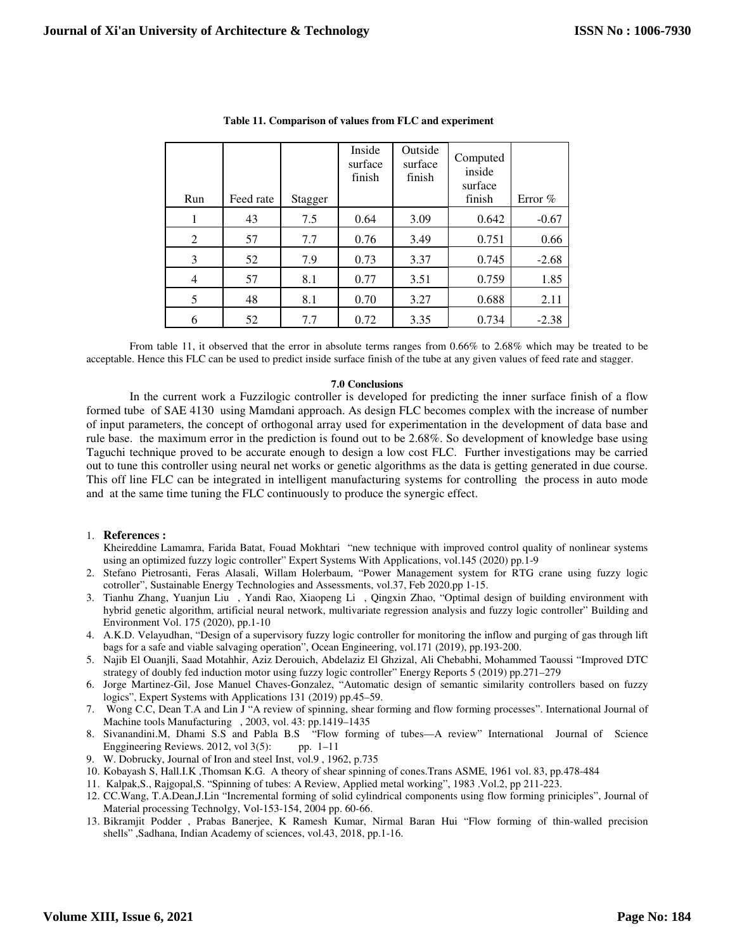| Run | Feed rate | Stagger | Inside<br>surface<br>finish | Outside<br>surface<br>finish | Computed<br>inside<br>surface<br>finish | Error % |
|-----|-----------|---------|-----------------------------|------------------------------|-----------------------------------------|---------|
|     |           |         |                             |                              |                                         |         |
|     | 43        | 7.5     | 0.64                        | 3.09                         | 0.642                                   | $-0.67$ |
| 2   | 57        | 7.7     | 0.76                        | 3.49                         | 0.751                                   | 0.66    |
| 3   | 52        | 7.9     | 0.73                        | 3.37                         | 0.745                                   | $-2.68$ |
| 4   | 57        | 8.1     | 0.77                        | 3.51                         | 0.759                                   | 1.85    |
| 5   | 48        | 8.1     | 0.70                        | 3.27                         | 0.688                                   | 2.11    |
| 6   | 52        | 7.7     | 0.72                        | 3.35                         | 0.734                                   | $-2.38$ |

|  |  | Table 11. Comparison of values from FLC and experiment |  |  |
|--|--|--------------------------------------------------------|--|--|
|--|--|--------------------------------------------------------|--|--|

From table 11, it observed that the error in absolute terms ranges from 0.66% to 2.68% which may be treated to be acceptable. Hence this FLC can be used to predict inside surface finish of the tube at any given values of feed rate and stagger.

# **7.0 Conclusions**

In the current work a Fuzzilogic controller is developed for predicting the inner surface finish of a flow formed tube of SAE 4130 using Mamdani approach. As design FLC becomes complex with the increase of number of input parameters, the concept of orthogonal array used for experimentation in the development of data base and rule base. the maximum error in the prediction is found out to be 2.68%. So development of knowledge base using Taguchi technique proved to be accurate enough to design a low cost FLC. Further investigations may be carried out to tune this controller using neural net works or genetic algorithms as the data is getting generated in due course. This off line FLC can be integrated in intelligent manufacturing systems for controlling the process in auto mode and at the same time tuning the FLC continuously to produce the synergic effect.

## 1. **References :**

- Kheireddine Lamamra, Farida Batat, Fouad Mokhtari "new technique with improved control quality of nonlinear systems using an optimized fuzzy logic controller" Expert Systems With Applications, vol.145 (2020) pp.1-9
- 2. Stefano Pietrosanti, Feras Alasali, Willam Holerbaum, "Power Management system for RTG crane using fuzzy logic cotroller", Sustainable Energy Technologies and Assessments, vol.37, Feb 2020.pp 1-15.
- 3. Tianhu Zhang, Yuanjun Liu , Yandi Rao, Xiaopeng Li , Qingxin Zhao, "Optimal design of building environment with hybrid genetic algorithm, artificial neural network, multivariate regression analysis and fuzzy logic controller" Building and Environment Vol. 175 (2020), pp.1-10
- 4. A.K.D. Velayudhan, "Design of a supervisory fuzzy logic controller for monitoring the inflow and purging of gas through lift bags for a safe and viable salvaging operation", Ocean Engineering, vol.171 (2019), pp.193-200.
- 5. Najib El Ouanjli, Saad Motahhir, Aziz Derouich, Abdelaziz El Ghzizal, Ali Chebabhi, Mohammed Taoussi "Improved DTC strategy of doubly fed induction motor using fuzzy logic controller" Energy Reports 5 (2019) pp.271–279
- 6. Jorge Martinez-Gil, Jose Manuel Chaves-Gonzalez, "Automatic design of semantic similarity controllers based on fuzzy logics", Expert Systems with Applications 131 (2019) pp.45–59.
- 7. Wong C.C, Dean T.A and Lin J "A review of spinning, shear forming and flow forming processes". International Journal of Machine tools Manufacturing , 2003, vol. 43: pp.1419–1435
- 8. Sivanandini.M, Dhami S.S and Pabla B.S "Flow forming of tubes—A review" International Journal of Science Enggineering Reviews. 2012, vol 3(5): pp. 1–11
- 9. W. Dobrucky, Journal of Iron and steel Inst, vol.9 , 1962, p.735
- 10. Kobayash S, Hall.I.K ,Thomsan K.G. A theory of shear spinning of cones.Trans ASME, 1961 vol. 83, pp.478-484
- 11. Kalpak,S., Rajgopal,S. "Spinning of tubes: A Review, Applied metal working", 1983 .Vol.2, pp 211-223.
- 12. CC.Wang, T.A.Dean,J.Lin "Incremental forming of solid cylindrical components using flow forming priniciples", Journal of Material processing Technolgy, Vol-153-154, 2004 pp. 60-66.
- 13. Bikramjit Podder , Prabas Banerjee, K Ramesh Kumar, Nirmal Baran Hui "Flow forming of thin-walled precision shells" ,Sadhana, Indian Academy of sciences, vol.43, 2018, pp.1-16.